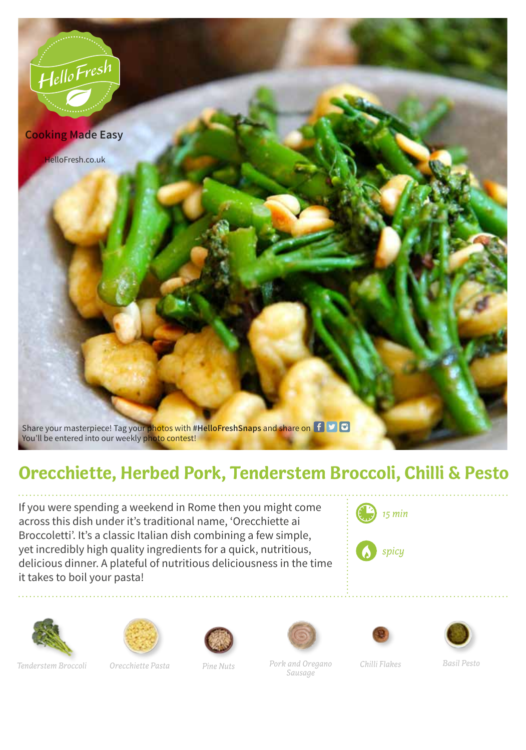

## **Orecchiette, Herbed Pork, Tenderstem Broccoli, Chilli & Pesto**

If you were spending a weekend in Rome then you might come across this dish under it's traditional name, 'Orecchiette ai Broccoletti'. It's a classic Italian dish combining a few simple, yet incredibly high quality ingredients for a quick, nutritious, delicious dinner. A plateful of nutritious deliciousness in the time it takes to boil your pasta!



*spicy*













*Pork and Oregano Chilli Flakes Pine Nuts Basil Pesto Sausage*